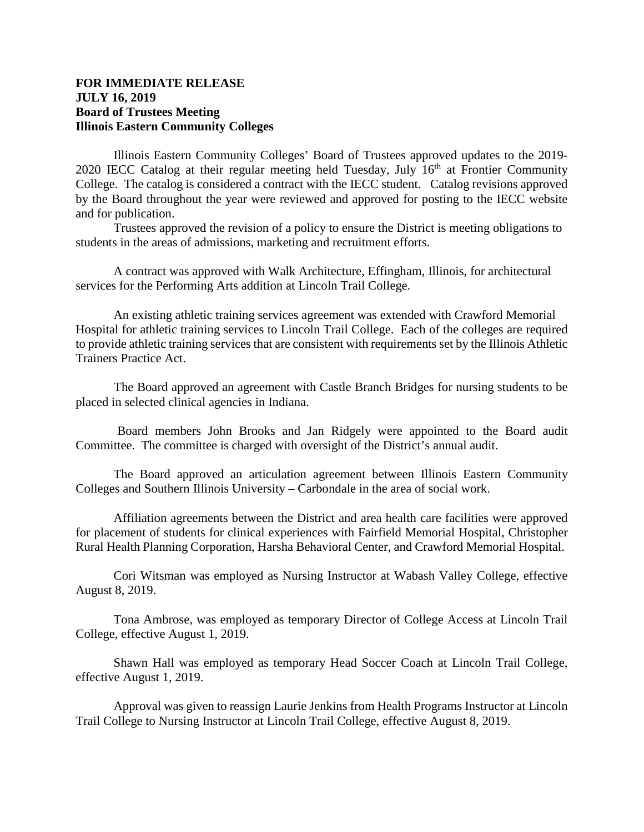## **FOR IMMEDIATE RELEASE JULY 16, 2019 Board of Trustees Meeting Illinois Eastern Community Colleges**

Illinois Eastern Community Colleges' Board of Trustees approved updates to the 2019- 2020 IECC Catalog at their regular meeting held Tuesday, July  $16<sup>th</sup>$  at Frontier Community College. The catalog is considered a contract with the IECC student. Catalog revisions approved by the Board throughout the year were reviewed and approved for posting to the IECC website and for publication.

Trustees approved the revision of a policy to ensure the District is meeting obligations to students in the areas of admissions, marketing and recruitment efforts.

A contract was approved with Walk Architecture, Effingham, Illinois, for architectural services for the Performing Arts addition at Lincoln Trail College.

An existing athletic training services agreement was extended with Crawford Memorial Hospital for athletic training services to Lincoln Trail College. Each of the colleges are required to provide athletic training services that are consistent with requirements set by the Illinois Athletic Trainers Practice Act.

 The Board approved an agreement with Castle Branch Bridges for nursing students to be placed in selected clinical agencies in Indiana.

 Board members John Brooks and Jan Ridgely were appointed to the Board audit Committee. The committee is charged with oversight of the District's annual audit.

The Board approved an articulation agreement between Illinois Eastern Community Colleges and Southern Illinois University – Carbondale in the area of social work.

Affiliation agreements between the District and area health care facilities were approved for placement of students for clinical experiences with Fairfield Memorial Hospital, Christopher Rural Health Planning Corporation, Harsha Behavioral Center, and Crawford Memorial Hospital.

Cori Witsman was employed as Nursing Instructor at Wabash Valley College, effective August 8, 2019.

Tona Ambrose, was employed as temporary Director of College Access at Lincoln Trail College, effective August 1, 2019.

Shawn Hall was employed as temporary Head Soccer Coach at Lincoln Trail College, effective August 1, 2019.

Approval was given to reassign Laurie Jenkins from Health Programs Instructor at Lincoln Trail College to Nursing Instructor at Lincoln Trail College, effective August 8, 2019.